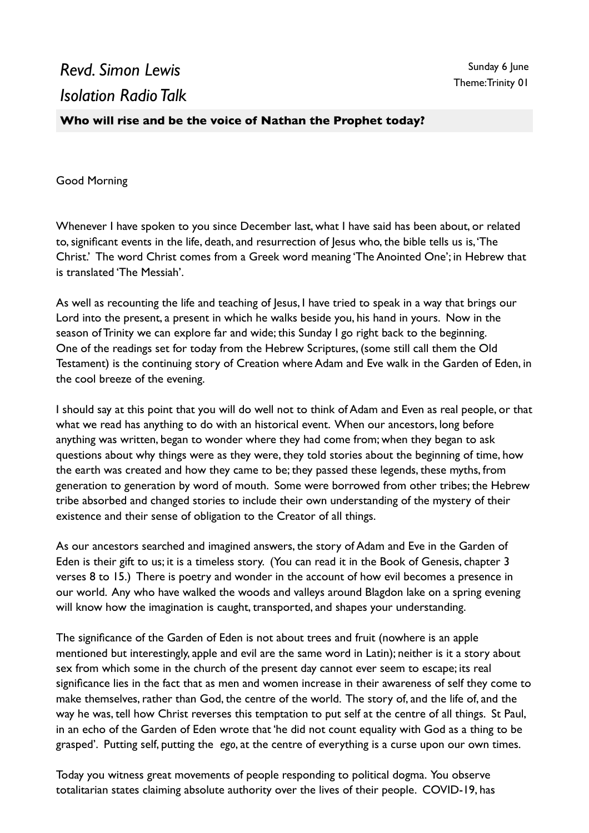## *Revd. Simon Lewis Isolation Radio Talk*

**Who will rise and be the voice of Nathan the Prophet today?**

Good Morning

Whenever I have spoken to you since December last, what I have said has been about, or related to, significant events in the life, death, and resurrection of Jesus who, the bible tells us is, 'The Christ.' The word Christ comes from a Greek word meaning 'The Anointed One'; in Hebrew that is translated 'The Messiah'.

As well as recounting the life and teaching of Jesus, I have tried to speak in a way that brings our Lord into the present, a present in which he walks beside you, his hand in yours. Now in the season of Trinity we can explore far and wide; this Sunday I go right back to the beginning. One of the readings set for today from the Hebrew Scriptures, (some still call them the Old Testament) is the continuing story of Creation where Adam and Eve walk in the Garden of Eden, in the cool breeze of the evening.

I should say at this point that you will do well not to think of Adam and Even as real people, or that what we read has anything to do with an historical event. When our ancestors, long before anything was written, began to wonder where they had come from; when they began to ask questions about why things were as they were, they told stories about the beginning of time, how the earth was created and how they came to be; they passed these legends, these myths, from generation to generation by word of mouth. Some were borrowed from other tribes; the Hebrew tribe absorbed and changed stories to include their own understanding of the mystery of their existence and their sense of obligation to the Creator of all things.

As our ancestors searched and imagined answers, the story of Adam and Eve in the Garden of Eden is their gift to us; it is a timeless story. (You can read it in the Book of Genesis, chapter 3 verses 8 to 15.) There is poetry and wonder in the account of how evil becomes a presence in our world. Any who have walked the woods and valleys around Blagdon lake on a spring evening will know how the imagination is caught, transported, and shapes your understanding.

The significance of the Garden of Eden is not about trees and fruit (nowhere is an apple mentioned but interestingly, apple and evil are the same word in Latin); neither is it a story about sex from which some in the church of the present day cannot ever seem to escape; its real significance lies in the fact that as men and women increase in their awareness of self they come to make themselves, rather than God, the centre of the world. The story of, and the life of, and the way he was, tell how Christ reverses this temptation to put self at the centre of all things. St Paul, in an echo of the Garden of Eden wrote that 'he did not count equality with God as a thing to be grasped'. Putting self, putting the *ego*, at the centre of everything is a curse upon our own times.

Today you witness great movements of people responding to political dogma. You observe totalitarian states claiming absolute authority over the lives of their people. COVID-19, has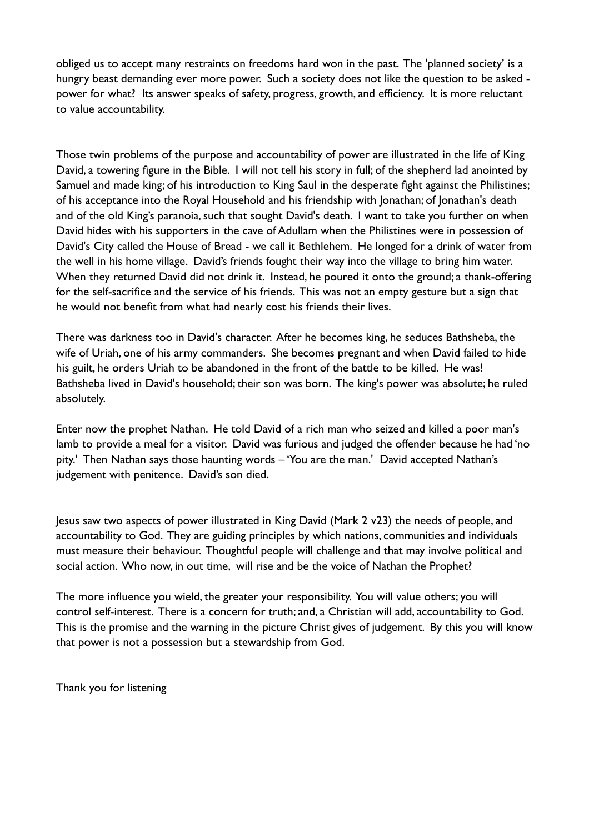obliged us to accept many restraints on freedoms hard won in the past. The 'planned society' is a hungry beast demanding ever more power. Such a society does not like the question to be asked power for what? Its answer speaks of safety, progress, growth, and efficiency. It is more reluctant to value accountability.

Those twin problems of the purpose and accountability of power are illustrated in the life of King David, a towering figure in the Bible. I will not tell his story in full; of the shepherd lad anointed by Samuel and made king; of his introduction to King Saul in the desperate fight against the Philistines; of his acceptance into the Royal Household and his friendship with Jonathan; of Jonathan's death and of the old King's paranoia, such that sought David's death. I want to take you further on when David hides with his supporters in the cave of Adullam when the Philistines were in possession of David's City called the House of Bread - we call it Bethlehem. He longed for a drink of water from the well in his home village. David's friends fought their way into the village to bring him water. When they returned David did not drink it. Instead, he poured it onto the ground; a thank-offering for the self-sacrifice and the service of his friends. This was not an empty gesture but a sign that he would not benefit from what had nearly cost his friends their lives.

There was darkness too in David's character. After he becomes king, he seduces Bathsheba, the wife of Uriah, one of his army commanders. She becomes pregnant and when David failed to hide his guilt, he orders Uriah to be abandoned in the front of the battle to be killed. He was! Bathsheba lived in David's household; their son was born. The king's power was absolute; he ruled absolutely.

Enter now the prophet Nathan. He told David of a rich man who seized and killed a poor man's lamb to provide a meal for a visitor. David was furious and judged the offender because he had 'no pity.' Then Nathan says those haunting words – 'You are the man.' David accepted Nathan's judgement with penitence. David's son died.

Jesus saw two aspects of power illustrated in King David (Mark 2 v23) the needs of people, and accountability to God. They are guiding principles by which nations, communities and individuals must measure their behaviour. Thoughtful people will challenge and that may involve political and social action. Who now, in out time, will rise and be the voice of Nathan the Prophet?

The more influence you wield, the greater your responsibility. You will value others; you will control self-interest. There is a concern for truth; and, a Christian will add, accountability to God. This is the promise and the warning in the picture Christ gives of judgement. By this you will know that power is not a possession but a stewardship from God.

Thank you for listening